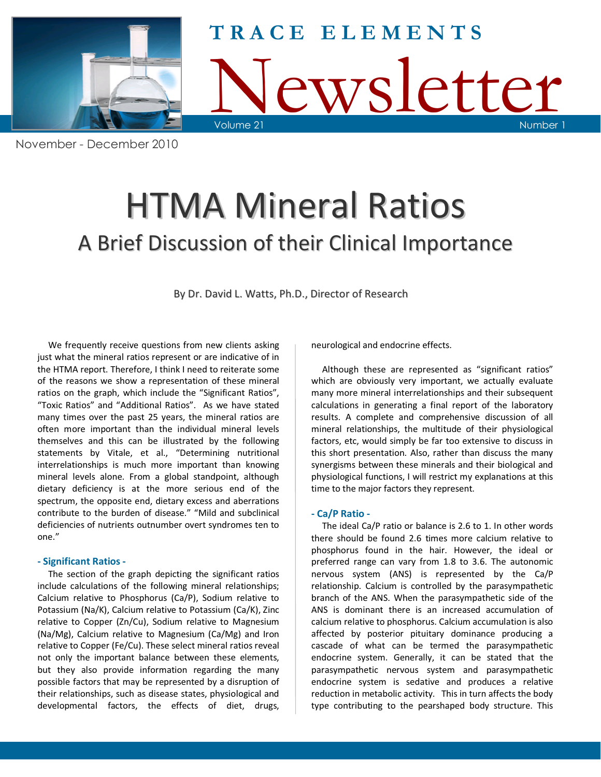

ewsletter Volume 21 **T R A C E E L E M E N T S**

# HTMA Mineral Ratios A Brief Discussion of their Clinical Importance

By Dr. David L. Watts, Ph.D., Director of Research

 We frequently receive questions from new clients asking just what the mineral ratios represent or are indicative of in the HTMA report. Therefore, I think I need to reiterate some of the reasons we show a representation of these mineral ratios on the graph, which include the "Significant Ratios", "Toxic Ratios" and "Additional Ratios". As we have stated many times over the past 25 years, the mineral ratios are often more important than the individual mineral levels themselves and this can be illustrated by the following statements by Vitale, et al., "Determining nutritional interrelationships is much more important than knowing mineral levels alone. From a global standpoint, although dietary deficiency is at the more serious end of the spectrum, the opposite end, dietary excess and aberrations contribute to the burden of disease." "Mild and subclinical deficiencies of nutrients outnumber overt syndromes ten to one."

# **- Significant Ratios -**

 The section of the graph depicting the significant ratios include calculations of the following mineral relationships; Calcium relative to Phosphorus (Ca/P), Sodium relative to Potassium (Na/K), Calcium relative to Potassium (Ca/K), Zinc relative to Copper (Zn/Cu), Sodium relative to Magnesium (Na/Mg), Calcium relative to Magnesium (Ca/Mg) and Iron relative to Copper (Fe/Cu). These select mineral ratios reveal not only the important balance between these elements, but they also provide information regarding the many possible factors that may be represented by a disruption of their relationships, such as disease states, physiological and developmental factors, the effects of diet, drugs,

neurological and endocrine effects.

 Although these are represented as "significant ratios" which are obviously very important, we actually evaluate many more mineral interrelationships and their subsequent calculations in generating a final report of the laboratory results. A complete and comprehensive discussion of all mineral relationships, the multitude of their physiological factors, etc, would simply be far too extensive to discuss in this short presentation. Also, rather than discuss the many synergisms between these minerals and their biological and physiological functions, I will restrict my explanations at this time to the major factors they represent.

# **- Ca/P Ratio -**

 The ideal Ca/P ratio or balance is 2.6 to 1. In other words there should be found 2.6 times more calcium relative to phosphorus found in the hair. However, the ideal or preferred range can vary from 1.8 to 3.6. The autonomic nervous system (ANS) is represented by the Ca/P relationship. Calcium is controlled by the parasympathetic branch of the ANS. When the parasympathetic side of the ANS is dominant there is an increased accumulation of calcium relative to phosphorus. Calcium accumulation is also affected by posterior pituitary dominance producing a cascade of what can be termed the parasympathetic endocrine system. Generally, it can be stated that the parasympathetic nervous system and parasympathetic endocrine system is sedative and produces a relative reduction in metabolic activity. This in turn affects the body type contributing to the pearshaped body structure. This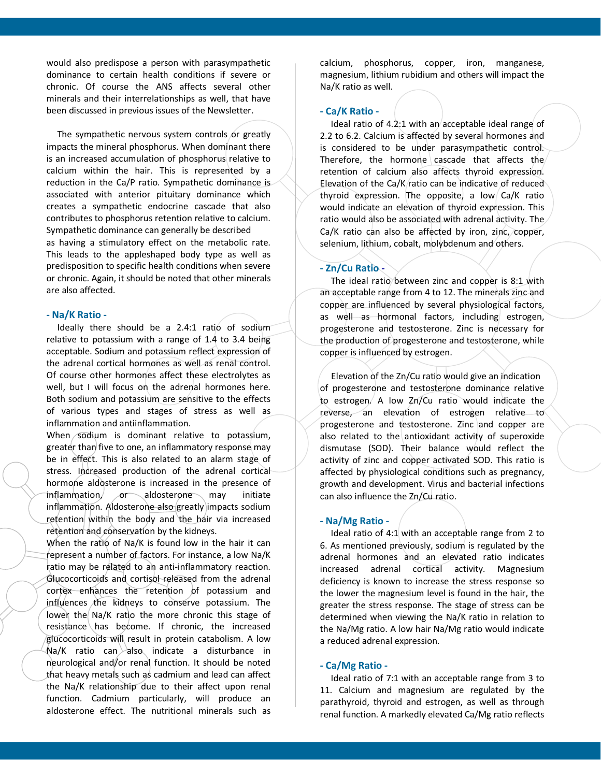would also predispose a person with parasympathetic dominance to certain health conditions if severe or chronic. Of course the ANS affects several other minerals and their interrelationships as well, that have been discussed in previous issues of the Newsletter.

The sympathetic nervous system controls or greatly impacts the mineral phosphorus. When dominant there is an increased accumulation of phosphorus relative to calcium within the hair. This is represented by a reduction in the Ca/P ratio. Sympathetic dominance is associated with anterior pituitary dominance which creates a sympathetic endocrine cascade that also contributes to phosphorus retention relative to calcium. Sympathetic dominance can generally be described as having a stimulatory effect on the metabolic rate. This leads to the appleshaped body type as well as predisposition to specific health conditions when severe or chronic. Again, it should be noted that other minerals are also affected.

#### **- Na/K Ratio -**

Ideally there should be a 2.4:1 ratio of sodium relative to potassium with a range of 1.4 to 3.4 being acceptable. Sodium and potassium reflect expression of the adrenal cortical hormones as well as renal control. Of course other hormones affect these electrolytes as well, but I will focus on the adrenal hormones here. Both sodium and potassium are sensitive to the effects of various types and stages of stress as well as inflammation and antiinflammation.

When sodium is dominant relative to potassium, greater than five to one, an inflammatory response may be in effect. This is also related to an alarm stage of stress. Increased production of the adrenal cortical hormone aldosterone is increased in the presence of  $inflammation$ ,  $\sigma$  aldosterone may initiate inflammation. Aldosterone also greatly impacts sodium retention within the body and the hair via increased retention and conservation by the kidneys.

When the ratio of Na/K is found low in the hair it can represent a number of factors. For instance, a low Na/K ratio may be related to an anti-inflammatory reaction. Glucocorticoids and cortisol released from the adrenal cortex enhances the retention of potassium and influences the kidneys to conserve potassium. The lower the Na/K ratio the more chronic this stage of resistance has become. If chronic, the increased glucocorticoids will result in protein catabolism. A low  $Na/K$  ratio can $\lambda$ also indicate a disturbance in neurological and/or renal function. It should be noted that heavy metals such as cadmium and lead can affect the Na/K relationship due to their affect upon renal function. Cadmium particularly, will produce an aldosterone effect. The nutritional minerals such as

calcium, phosphorus, copper, iron, manganese, magnesium, lithium rubidium and others will impact the Na/K ratio as well.

#### **- Ca/K Ratio -**

Ideal ratio of 4.2:1 with an acceptable ideal range of 2.2 to 6.2. Calcium is affected by several hormones and is considered to be under parasympathetic control. Therefore, the hormone cascade that affects the retention of calcium also affects thyroid expression. Elevation of the Ca/K ratio can be indicative of reduced thyroid expression. The opposite, a low  $Ca/K$  ratio would indicate an elevation of thyroid expression. This ratio would also be associated with adrenal activity. The Ca/K ratio can also be affected by iron, zinc, copper, selenium, lithium, cobalt, molybdenum and others.

#### **- Zn/Cu Ratio -**

 The ideal ratio between zinc and copper is 8:1 with an acceptable range from 4 to 12. The minerals zinc and copper are influenced by several physiological factors, as well as hormonal factors, including estrogen, progesterone and testosterone. Zinc is necessary for the production of progesterone and testosterone, while copper is influenced by estrogen.

 Elevation of the Zn/Cu ratio would give an indication of progesterone and testosterone dominance relative to estrogen. A low Zn/Cu ratio would indicate the reverse, an elevation of estrogen relative to progesterone and testosterone. Zinc and copper are also related to the antioxidant activity of superoxide dismutase (SOD). Their balance would reflect the activity of zinc and copper activated SOD. This ratio is affected by physiological conditions such as pregnancy, growth and development. Virus and bacterial infections can also influence the Zn/Cu ratio.

#### **- Na/Mg Ratio -**

 Ideal ratio of 4:1 with an acceptable range from 2 to 6. As mentioned previously, sodium is regulated by the adrenal hormones and an elevated ratio indicates increased adrenal cortical activity. Magnesium deficiency is known to increase the stress response so the lower the magnesium level is found in the hair, the greater the stress response. The stage of stress can be determined when viewing the Na/K ratio in relation to the Na/Mg ratio. A low hair Na/Mg ratio would indicate a reduced adrenal expression.

#### **- Ca/Mg Ratio -**

 Ideal ratio of 7:1 with an acceptable range from 3 to 11. Calcium and magnesium are regulated by the parathyroid, thyroid and estrogen, as well as through renal function. A markedly elevated Ca/Mg ratio reflects